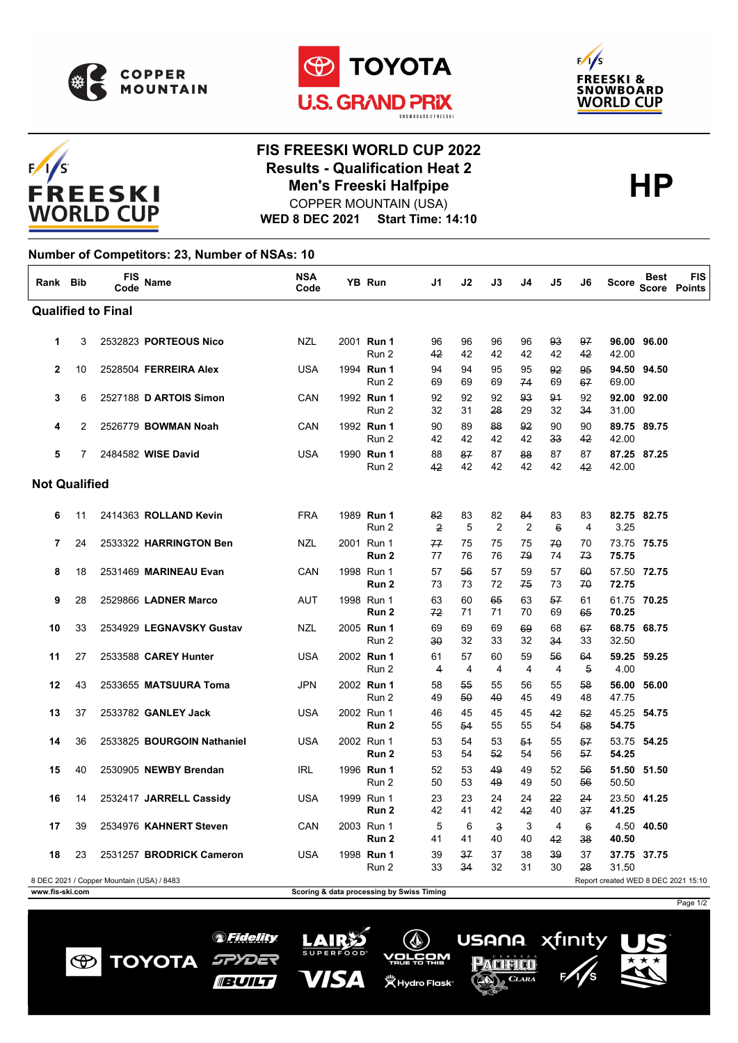

 $F/1/S$ 

**FREESKI WORLD CUP** 





## **FIS FREESKI WORLD CUP 2022 Results - Qualification Heat 2**<br>Men's Freeski Halfpipe<br> **HP Men's Freeski Halfpipe**

**WED 8 DEC 2021 Start Time: 14:10** COPPER MOUNTAIN (USA)

## **Number of Competitors: 23, Number of NSAs: 10**

| Rank Bib                                                                         |    | <b>FIS</b><br>Code | <b>Name</b>                | <b>NSA</b><br>Code |  | <b>YB Run</b>                             | J1                   | J2       | J3                            | J4                   | J5               | J6                    | <b>Score</b> | Best        | <b>FIS</b><br>Score Points |
|----------------------------------------------------------------------------------|----|--------------------|----------------------------|--------------------|--|-------------------------------------------|----------------------|----------|-------------------------------|----------------------|------------------|-----------------------|--------------|-------------|----------------------------|
| <b>Qualified to Final</b>                                                        |    |                    |                            |                    |  |                                           |                      |          |                               |                      |                  |                       |              |             |                            |
| 1                                                                                | 3  |                    | 2532823 PORTEOUS Nico      | <b>NZL</b>         |  | 2001 Run 1<br>Run 2                       | 96<br>42             | 96<br>42 | 96<br>42                      | 96<br>42             | 93<br>42         | 97<br>42              | 42.00        | 96.00 96.00 |                            |
| $\overline{2}$                                                                   | 10 |                    | 2528504 FERREIRA Alex      | <b>USA</b>         |  | 1994 Run 1<br>Run 2                       | 94<br>69             | 94<br>69 | 95<br>69                      | 95<br>74             | 92<br>69         | 95<br>67              | 69.00        | 94.50 94.50 |                            |
| 3                                                                                | 6  |                    | 2527188 D ARTOIS Simon     | CAN                |  | 1992 Run 1<br>Run 2                       | 92<br>32             | 92<br>31 | 92<br>28                      | 93<br>29             | 91<br>32         | 92<br>34              | 31.00        | 92.00 92.00 |                            |
| 4                                                                                | 2  |                    | 2526779 BOWMAN Noah        | CAN                |  | 1992 Run 1<br>Run 2                       | 90<br>42             | 89<br>42 | 88<br>42                      | 92<br>42             | 90<br>33         | 90<br>42              | 42.00        | 89.75 89.75 |                            |
| 5                                                                                | 7  |                    | 2484582 WISE David         | <b>USA</b>         |  | 1990 Run 1<br>Run 2                       | 88<br>42             | 87<br>42 | 87<br>42                      | 88<br>42             | 87<br>42         | 87<br>42              | 42.00        | 87.25 87.25 |                            |
| <b>Not Qualified</b>                                                             |    |                    |                            |                    |  |                                           |                      |          |                               |                      |                  |                       |              |             |                            |
| 6                                                                                | 11 |                    | 2414363 ROLLAND Kevin      | <b>FRA</b>         |  | 1989 Run 1<br>Run 2                       | 82<br>$\overline{2}$ | 83<br>5  | 82<br>$\overline{2}$          | 84<br>$\overline{2}$ | 83<br>$6 \theta$ | 83<br>$\overline{4}$  | 3.25         | 82.75 82.75 |                            |
| $\overline{7}$                                                                   | 24 |                    | 2533322 HARRINGTON Ben     | <b>NZL</b>         |  | 2001 Run 1<br>Run 2                       | 77<br>77             | 75<br>76 | 75<br>76                      | 75<br>79             | 70<br>74         | 70<br>73              | 75.75        | 73.75 75.75 |                            |
| 8                                                                                | 18 |                    | 2531469 MARINEAU Evan      | CAN                |  | 1998 Run 1<br>Run <sub>2</sub>            | 57<br>73             | 56<br>73 | 57<br>72                      | 59<br>75             | 57<br>73         | 60<br>70              | 72.75        | 57.50 72.75 |                            |
| 9                                                                                | 28 |                    | 2529866 LADNER Marco       | <b>AUT</b>         |  | 1998 Run 1<br>Run 2                       | 63<br>72             | 60<br>71 | 65<br>71                      | 63<br>70             | 57<br>69         | 61<br>65              | 70.25        | 61.75 70.25 |                            |
| 10                                                                               | 33 |                    | 2534929 LEGNAVSKY Gustav   | <b>NZL</b>         |  | 2005 Run 1<br>Run 2                       | 69<br>30             | 69<br>32 | 69<br>33                      | 69<br>32             | 68<br>34         | 67<br>33              | 32.50        | 68.75 68.75 |                            |
| 11                                                                               | 27 |                    | 2533588 CAREY Hunter       | <b>USA</b>         |  | 2002 Run 1<br>Run 2                       | 61<br>4              | 57<br>4  | 60<br>4                       | 59<br>4              | 56<br>4          | 64<br>$\overline{5}$  | 4.00         | 59.25 59.25 |                            |
| 12                                                                               | 43 |                    | 2533655 MATSUURA Toma      | <b>JPN</b>         |  | 2002 Run 1<br>Run 2                       | 58<br>49             | 55<br>50 | 55<br>40                      | 56<br>45             | 55<br>49         | 58<br>48              | 47.75        | 56.00 56.00 |                            |
| 13                                                                               | 37 |                    | 2533782 GANLEY Jack        | <b>USA</b>         |  | 2002 Run 1<br>Run 2                       | 46<br>55             | 45<br>54 | 45<br>55                      | 45<br>55             | 42<br>54         | 52<br>58              | 54.75        | 45.25 54.75 |                            |
| 14                                                                               | 36 |                    | 2533825 BOURGOIN Nathaniel | <b>USA</b>         |  | 2002 Run 1<br>Run 2                       | 53<br>53             | 54<br>54 | 53<br>52                      | 54<br>54             | 55<br>56         | 57<br>57              | 54.25        | 53.75 54.25 |                            |
| 15                                                                               | 40 |                    | 2530905 NEWBY Brendan      | <b>IRL</b>         |  | 1996 Run 1<br>Run 2                       | 52<br>50             | 53<br>53 | 49<br>49                      | 49<br>49             | 52<br>50         | 56<br>56              | 50.50        | 51.50 51.50 |                            |
| 16                                                                               | 14 |                    | 2532417 JARRELL Cassidy    | <b>USA</b>         |  | 1999 Run 1<br>Run 2                       | 23<br>42             | 23<br>41 | 24<br>42                      | 24<br>42             | 22<br>40         | 24<br>37              | 41.25        | 23.50 41.25 |                            |
| 17                                                                               | 39 |                    | 2534976 KAHNERT Steven     | CAN                |  | 2003 Run 1<br>Run 2                       | 5<br>41              | 6<br>41  | $\overline{\mathbf{3}}$<br>40 | 3<br>40              | 4<br>42          | $6\overline{6}$<br>38 | 40.50        | 4.50 40.50  |                            |
| 18                                                                               | 23 |                    | 2531257 BRODRICK Cameron   | <b>USA</b>         |  | 1998 Run 1<br>Run 2                       | 39<br>33             | 37<br>34 | 37<br>32                      | 38<br>31             | 39<br>30         | 37<br>28              | 31.50        | 37.75 37.75 |                            |
| 8 DEC 2021 / Copper Mountain (USA) / 8483<br>Report created WED 8 DEC 2021 15:10 |    |                    |                            |                    |  |                                           |                      |          |                               |                      |                  |                       |              |             |                            |
| www.fis-ski.com                                                                  |    |                    |                            |                    |  | Scoring & data processing by Swiss Timing |                      |          |                               |                      |                  |                       |              |             |                            |

*SFidelity* 

SPYDER

**BUILT** 

**TOYOTA** 

 $\bigcirc$ 

LAIRS

VISA

xfinity

USANA.

Pacifico

CLARA

 $(\Diamond)$ 

<u>vorčom</u>

**义 Hydro Flask**\*